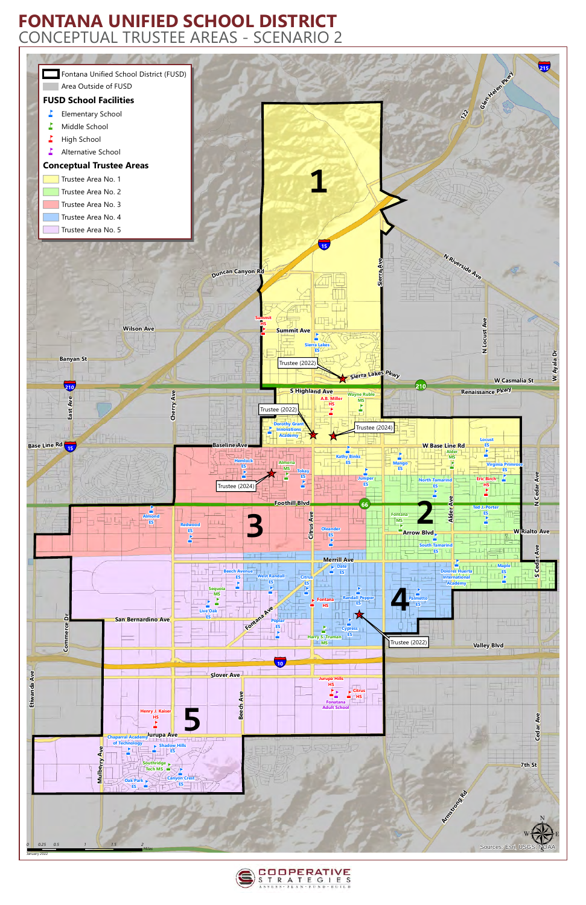



## **FONTANA UNIFIED SCHOOL DISTRICT** CONCEPTUAL TRUSTEE AREAS - SCENARIO 2